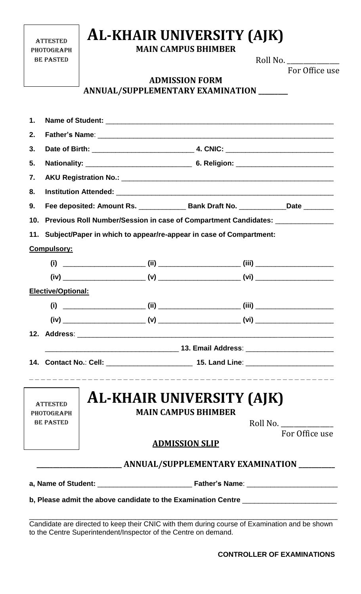## **AL-KHAIR UNIVERSITY (AJK)**

**MAIN CAMPUS BHIMBER**

**ADMISSION FORM**

**ANNULAL /CUDDI EMENTA DV EVAMINATION** 

**ATTESTED PHOTOGRAPH** be pasted

Roll No. For Office use

| 1.               |                                                                                    |  |  |                                                                |                |  |  |  |  |
|------------------|------------------------------------------------------------------------------------|--|--|----------------------------------------------------------------|----------------|--|--|--|--|
| 2.               |                                                                                    |  |  |                                                                |                |  |  |  |  |
| 3.               |                                                                                    |  |  |                                                                |                |  |  |  |  |
| 5.               |                                                                                    |  |  |                                                                |                |  |  |  |  |
| 7.               |                                                                                    |  |  |                                                                |                |  |  |  |  |
| 8.               |                                                                                    |  |  |                                                                |                |  |  |  |  |
| 9.               | Fee deposited: Amount Rs. _______________ Bank Draft No. _____________Date _______ |  |  |                                                                |                |  |  |  |  |
| 10 <sub>1</sub>  | Previous Roll Number/Session in case of Compartment Candidates: ________________   |  |  |                                                                |                |  |  |  |  |
|                  | 11. Subject/Paper in which to appear/re-appear in case of Compartment:             |  |  |                                                                |                |  |  |  |  |
|                  | <b>Compulsory:</b>                                                                 |  |  |                                                                |                |  |  |  |  |
|                  |                                                                                    |  |  |                                                                |                |  |  |  |  |
|                  |                                                                                    |  |  |                                                                |                |  |  |  |  |
|                  | Elective/Optional:                                                                 |  |  |                                                                |                |  |  |  |  |
|                  |                                                                                    |  |  |                                                                |                |  |  |  |  |
|                  |                                                                                    |  |  |                                                                |                |  |  |  |  |
|                  |                                                                                    |  |  |                                                                |                |  |  |  |  |
|                  |                                                                                    |  |  |                                                                |                |  |  |  |  |
|                  |                                                                                    |  |  |                                                                |                |  |  |  |  |
|                  | <b>ATTESTED</b><br><b>PHOTOGRAPH</b>                                               |  |  | <b>AL-KHAIR UNIVERSITY (AJK)</b><br><b>MAIN CAMPUS BHIMBER</b> |                |  |  |  |  |
| <b>BE PASTED</b> |                                                                                    |  |  |                                                                | Roll No.       |  |  |  |  |
|                  |                                                                                    |  |  | <b>ADMISSION SLIP</b>                                          | For Office use |  |  |  |  |
|                  |                                                                                    |  |  |                                                                |                |  |  |  |  |
|                  |                                                                                    |  |  |                                                                |                |  |  |  |  |

**b, Please admit the above candidate to the Examination Centre**  $\_\_$ 

Candidate are directed to keep their CNIC with them during course of Examination and be shown to the Centre Superintendent/Inspector of the Centre on demand.

\_\_\_\_\_\_\_\_\_\_\_\_\_\_\_\_\_\_\_\_\_\_\_\_\_\_\_\_\_\_\_\_\_\_\_\_\_\_\_\_\_\_\_\_\_\_\_\_\_\_\_\_\_\_\_\_\_\_\_\_\_\_\_\_\_\_\_\_\_\_\_\_\_\_\_\_\_\_\_